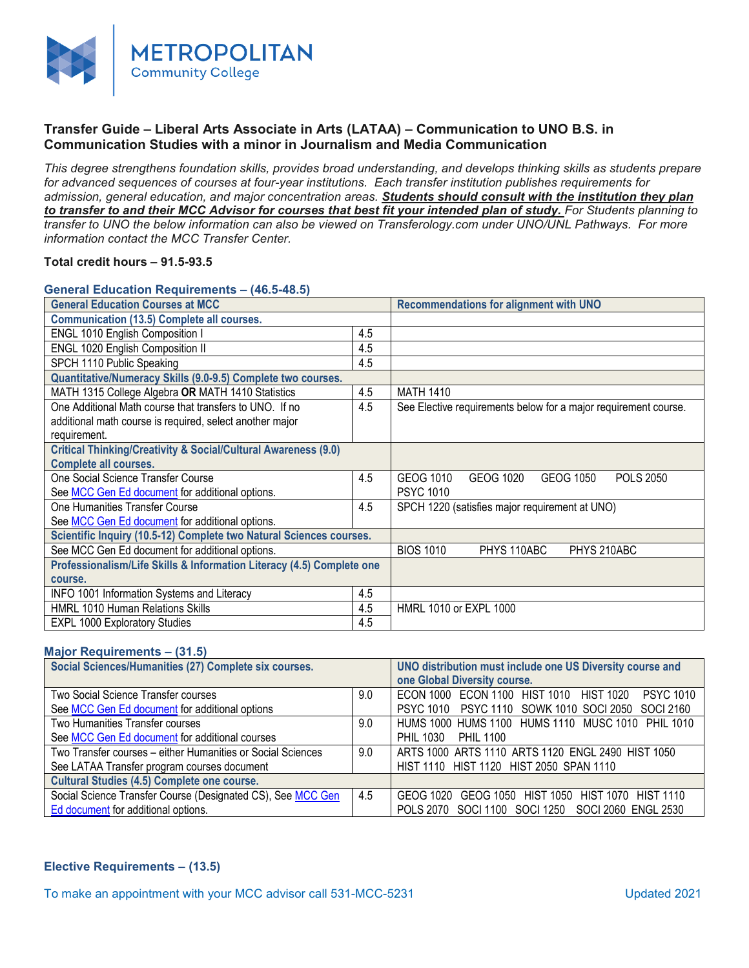

# **Transfer Guide – Liberal Arts Associate in Arts (LATAA) – Communication to UNO B.S. in Communication Studies with a minor in Journalism and Media Communication**

*This degree strengthens foundation skills, provides broad understanding, and develops thinking skills as students prepare for advanced sequences of courses at four-year institutions. Each transfer institution publishes requirements for admission, general education, and major concentration areas. Students should consult with the institution they plan to transfer to and their MCC Advisor for courses that best fit your intended plan of study. For Students planning to transfer to UNO the below information can also be viewed on Transferology.com under UNO/UNL Pathways. For more information contact the MCC Transfer Center.*

### **Total credit hours – 91.5-93.5**

#### **General Education Requirements – (46.5-48.5)**

| <b>General Education Courses at MCC</b>                                   |     | <b>Recommendations for alignment with UNO</b>                   |  |
|---------------------------------------------------------------------------|-----|-----------------------------------------------------------------|--|
| <b>Communication (13.5) Complete all courses.</b>                         |     |                                                                 |  |
| <b>ENGL 1010 English Composition I</b>                                    | 4.5 |                                                                 |  |
| ENGL 1020 English Composition II                                          | 4.5 |                                                                 |  |
| SPCH 1110 Public Speaking                                                 | 4.5 |                                                                 |  |
| Quantitative/Numeracy Skills (9.0-9.5) Complete two courses.              |     |                                                                 |  |
| MATH 1315 College Algebra OR MATH 1410 Statistics                         | 4.5 | <b>MATH 1410</b>                                                |  |
| One Additional Math course that transfers to UNO. If no                   | 4.5 | See Elective requirements below for a major requirement course. |  |
| additional math course is required, select another major                  |     |                                                                 |  |
| requirement.                                                              |     |                                                                 |  |
| <b>Critical Thinking/Creativity &amp; Social/Cultural Awareness (9.0)</b> |     |                                                                 |  |
| <b>Complete all courses.</b>                                              |     |                                                                 |  |
| One Social Science Transfer Course                                        | 4.5 | GEOG 1010<br>GEOG 1020<br>GEOG 1050<br><b>POLS 2050</b>         |  |
| See MCC Gen Ed document for additional options.                           |     | <b>PSYC 1010</b>                                                |  |
| One Humanities Transfer Course                                            | 4.5 | SPCH 1220 (satisfies major requirement at UNO)                  |  |
| See MCC Gen Ed document for additional options.                           |     |                                                                 |  |
| Scientific Inquiry (10.5-12) Complete two Natural Sciences courses.       |     |                                                                 |  |
| See MCC Gen Ed document for additional options.                           |     | <b>BIOS 1010</b><br>PHYS 110ABC<br>PHYS 210ABC                  |  |
| Professionalism/Life Skills & Information Literacy (4.5) Complete one     |     |                                                                 |  |
| course.                                                                   |     |                                                                 |  |
| INFO 1001 Information Systems and Literacy                                | 4.5 |                                                                 |  |
| <b>HMRL 1010 Human Relations Skills</b>                                   | 4.5 | <b>HMRL 1010 or EXPL 1000</b>                                   |  |
| <b>EXPL 1000 Exploratory Studies</b>                                      | 4.5 |                                                                 |  |

### **Major Requirements – (31.5)**

| Social Sciences/Humanities (27) Complete six courses.       |     | UNO distribution must include one US Diversity course and   |
|-------------------------------------------------------------|-----|-------------------------------------------------------------|
|                                                             |     | one Global Diversity course.                                |
| Two Social Science Transfer courses                         | 9.0 | ECON 1000 ECON 1100 HIST 1010 HIST 1020<br><b>PSYC 1010</b> |
| See MCC Gen Ed document for additional options              |     | PSYC 1010 PSYC 1110 SOWK 1010 SOCI 2050 SOCI 2160           |
| Two Humanities Transfer courses                             | 9.0 | HUMS 1000 HUMS 1100 HUMS 1110 MUSC 1010 PHIL 1010           |
| See MCC Gen Ed document for additional courses              |     | PHIL 1030<br>PHIL 1100                                      |
| Two Transfer courses - either Humanities or Social Sciences | 9.0 | ARTS 1000 ARTS 1110 ARTS 1120 ENGL 2490 HIST 1050           |
| See LATAA Transfer program courses document                 |     | HIST 1110 HIST 1120 HIST 2050 SPAN 1110                     |
| <b>Cultural Studies (4.5) Complete one course.</b>          |     |                                                             |
| Social Science Transfer Course (Designated CS), See MCC Gen | 4.5 | GEOG 1020 GEOG 1050 HIST 1050 HIST 1070 HIST 1110           |
| Ed document for additional options.                         |     | POLS 2070 SOCI 1100 SOCI 1250 SOCI 2060 ENGL 2530           |

# **Elective Requirements – (13.5)**

To make an appointment with your MCC advisor call 531-MCC-5231 Updated 2021